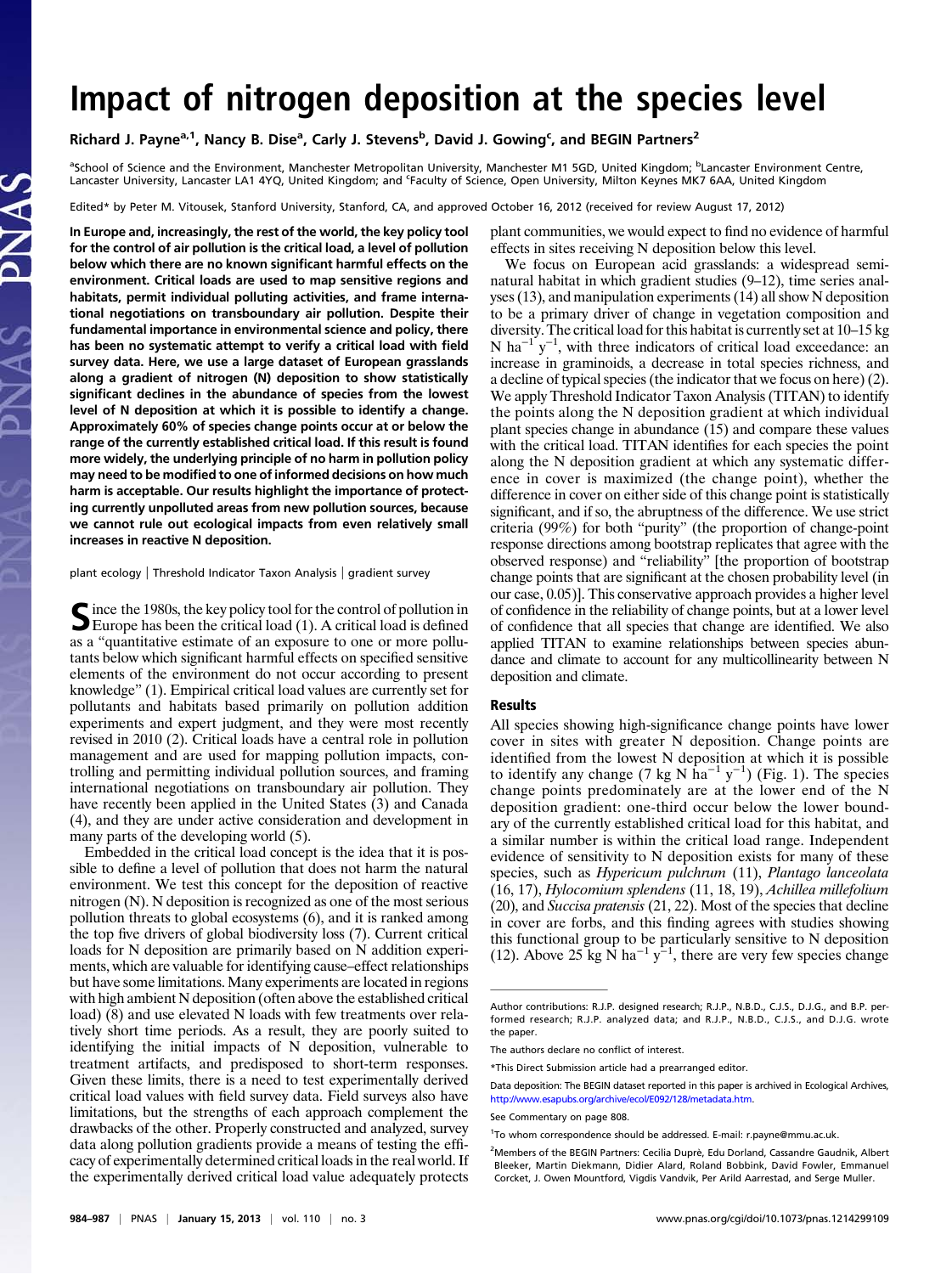## Impact of nitrogen deposition at the species level

Richard J. Payne<sup>a,1</sup>, Nancy B. Dise<sup>a</sup>, Carly J. Stevens<sup>b</sup>, David J. Gowing<sup>c</sup>, and BEGIN Partners<sup>2</sup>

<sup>a</sup>School of Science and the Environment, Manchester Metropolitan University, Manchester M1 5GD, United Kingdom; <sup>b</sup>Lancaster Environment Centre, Lancaster University, Lancaster LA1 4YQ, United Kingdom; and <sup>c</sup>Faculty of Science, Open University, Milton Keynes MK7 6AA, United Kingdom

Edited\* by Peter M. Vitousek, Stanford University, Stanford, CA, and approved October 16, 2012 (received for review August 17, 2012)

In Europe and, increasingly, the rest of the world, the key policy tool for the control of air pollution is the critical load, a level of pollution below which there are no known significant harmful effects on the environment. Critical loads are used to map sensitive regions and habitats, permit individual polluting activities, and frame international negotiations on transboundary air pollution. Despite their fundamental importance in environmental science and policy, there has been no systematic attempt to verify a critical load with field survey data. Here, we use a large dataset of European grasslands along a gradient of nitrogen (N) deposition to show statistically significant declines in the abundance of species from the lowest level of N deposition at which it is possible to identify a change. Approximately 60% of species change points occur at or below the range of the currently established critical load. If this result is found more widely, the underlying principle of no harm in pollution policy may need to be modified to one of informed decisions on how much harm is acceptable. Our results highlight the importance of protecting currently unpolluted areas from new pollution sources, because we cannot rule out ecological impacts from even relatively small increases in reactive N deposition.

plant ecology | Threshold Indicator Taxon Analysis | gradient survey

Since the 1980s, the key policy tool for the control of pollution in<br>Europe has been the critical load (1). A critical load is defined as a "quantitative estimate of an exposure to one or more pollutants below which significant harmful effects on specified sensitive elements of the environment do not occur according to present knowledge" (1). Empirical critical load values are currently set for pollutants and habitats based primarily on pollution addition experiments and expert judgment, and they were most recently revised in 2010 (2). Critical loads have a central role in pollution management and are used for mapping pollution impacts, controlling and permitting individual pollution sources, and framing international negotiations on transboundary air pollution. They have recently been applied in the United States (3) and Canada (4), and they are under active consideration and development in many parts of the developing world (5).

Embedded in the critical load concept is the idea that it is possible to define a level of pollution that does not harm the natural environment. We test this concept for the deposition of reactive nitrogen (N). N deposition is recognized as one of the most serious pollution threats to global ecosystems (6), and it is ranked among the top five drivers of global biodiversity loss (7). Current critical loads for N deposition are primarily based on N addition experiments, which are valuable for identifying cause–effect relationships but have some limitations. Many experiments are located in regions with high ambient N deposition (often above the established critical load) (8) and use elevated N loads with few treatments over relatively short time periods. As a result, they are poorly suited to identifying the initial impacts of N deposition, vulnerable to treatment artifacts, and predisposed to short-term responses. Given these limits, there is a need to test experimentally derived critical load values with field survey data. Field surveys also have limitations, but the strengths of each approach complement the drawbacks of the other. Properly constructed and analyzed, survey data along pollution gradients provide a means of testing the efficacy of experimentally determined critical loads in the real world. If the experimentally derived critical load value adequately protects plant communities, we would expect to find no evidence of harmful effects in sites receiving N deposition below this level.

We focus on European acid grasslands: a widespread seminatural habitat in which gradient studies (9–12), time series analyses (13), and manipulation experiments (14) all show N deposition to be a primary driver of change in vegetation composition and diversity. The critical load for this habitat is currently set at 10–15 kg N ha<sup>-1'</sup>y<sup>-1</sup>, with three indicators of critical load exceedance: an increase in graminoids, a decrease in total species richness, and a decline of typical species (the indicator that we focus on here) (2). We apply Threshold Indicator Taxon Analysis (TITAN) to identify the points along the N deposition gradient at which individual plant species change in abundance (15) and compare these values with the critical load. TITAN identifies for each species the point along the N deposition gradient at which any systematic difference in cover is maximized (the change point), whether the difference in cover on either side of this change point is statistically significant, and if so, the abruptness of the difference. We use strict criteria (99%) for both "purity" (the proportion of change-point response directions among bootstrap replicates that agree with the observed response) and "reliability" [the proportion of bootstrap change points that are significant at the chosen probability level (in our case, 0.05)]. This conservative approach provides a higher level of confidence in the reliability of change points, but at a lower level of confidence that all species that change are identified. We also applied TITAN to examine relationships between species abundance and climate to account for any multicollinearity between N deposition and climate.

## Results

All species showing high-significance change points have lower cover in sites with greater N deposition. Change points are identified from the lowest N deposition at which it is possible to identify any change (7 kg N ha<sup>-1</sup> y<sup>-1</sup>) (Fig. 1). The species change points predominately are at the lower end of the N deposition gradient: one-third occur below the lower boundary of the currently established critical load for this habitat, and a similar number is within the critical load range. Independent evidence of sensitivity to N deposition exists for many of these species, such as Hypericum pulchrum (11), Plantago lanceolata (16, 17), Hylocomium splendens (11, 18, 19), Achillea millefolium (20), and Succisa pratensis (21, 22). Most of the species that decline in cover are forbs, and this finding agrees with studies showing this functional group to be particularly sensitive to N deposition (12). Above 25 kg  $\dot{N}$  ha<sup>-1</sup> y<sup>-1</sup>, there are very few species change

Data deposition: The BEGIN dataset reported in this paper is archived in Ecological Archives, <http://www.esapubs.org/archive/ecol/E092/128/metadata.htm>.

<sup>2</sup>Members of the BEGIN Partners: Cecilia Duprè, Edu Dorland, Cassandre Gaudnik, Albert Bleeker, Martin Diekmann, Didier Alard, Roland Bobbink, David Fowler, Emmanuel Corcket, J. Owen Mountford, Vigdis Vandvik, Per Arild Aarrestad, and Serge Muller.

Author contributions: R.J.P. designed research; R.J.P., N.B.D., C.J.S., D.J.G., and B.P. performed research; R.J.P. analyzed data; and R.J.P., N.B.D., C.J.S., and D.J.G. wrote the paper.

The authors declare no conflict of interest.

<sup>\*</sup>This Direct Submission article had a prearranged editor.

See Commentary on page 808.

<sup>1</sup> To whom correspondence should be addressed. E-mail: [r.payne@mmu.ac.uk](mailto:r.payne@mmu.ac.uk).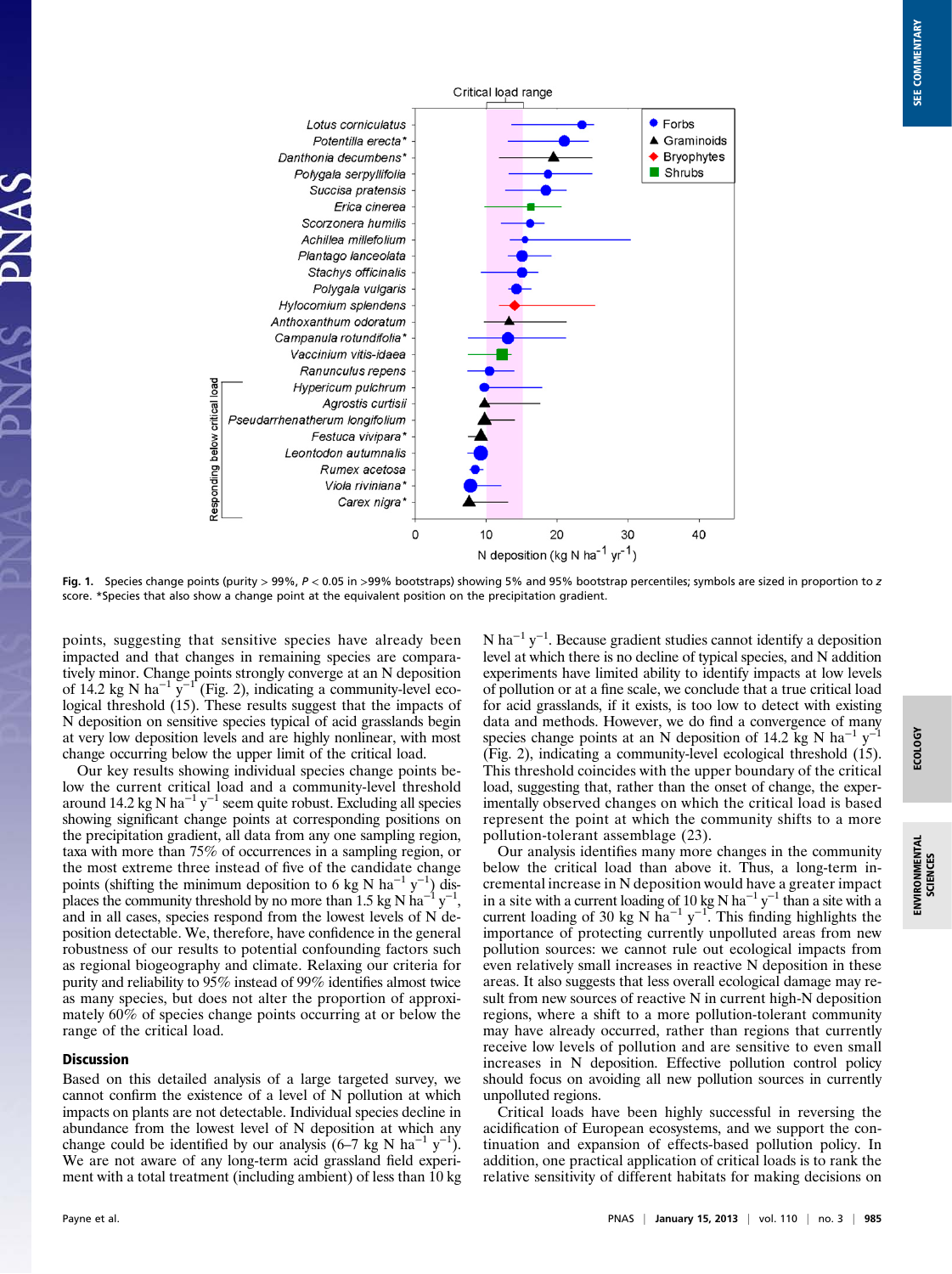

Fig. 1. Species change points (purity > 99%, P < 0.05 in >99% bootstraps) showing 5% and 95% bootstrap percentiles; symbols are sized in proportion to z score. \*Species that also show a change point at the equivalent position on the precipitation gradient.

points, suggesting that sensitive species have already been impacted and that changes in remaining species are comparatively minor. Change points strongly converge at an N deposition of 14.2 kg N ha<sup>-1</sup>  $\bar{y}^{-1}$  (Fig. 2), indicating a community-level ecological threshold (15). These results suggest that the impacts of N deposition on sensitive species typical of acid grasslands begin at very low deposition levels and are highly nonlinear, with most change occurring below the upper limit of the critical load.

Our key results showing individual species change points below the current critical load and a community-level threshold around 14.2 kg N ha<sup>-1</sup> y<sup>-1</sup> seem quite robust. Excluding all species showing significant change points at corresponding positions on the precipitation gradient, all data from any one sampling region, taxa with more than 75% of occurrences in a sampling region, or the most extreme three instead of five of the candidate change points (shifting the minimum deposition to 6 kg N ha<sup>-1</sup> y<sup>-1</sup>) dis-<br>places the community threshold by no more than 1.5 kg N ha<sup>-1</sup> y<sup>-1</sup>, and in all cases, species respond from the lowest levels of N deposition detectable. We, therefore, have confidence in the general robustness of our results to potential confounding factors such as regional biogeography and climate. Relaxing our criteria for purity and reliability to 95% instead of 99% identifies almost twice as many species, but does not alter the proportion of approximately 60% of species change points occurring at or below the range of the critical load.

## Discussion

Based on this detailed analysis of a large targeted survey, we cannot confirm the existence of a level of N pollution at which impacts on plants are not detectable. Individual species decline in abundance from the lowest level of N deposition at which any change could be identified by our analysis  $(6-7 \text{ kg N} \text{ ha}^{-1} \text{ y}^{-1})$ . We are not aware of any long-term acid grassland field experiment with a total treatment (including ambient) of less than 10 kg

N ha<sup>-1</sup> y<sup>-1</sup>. Because gradient studies cannot identify a deposition level at which there is no decline of typical species, and N addition experiments have limited ability to identify impacts at low levels of pollution or at a fine scale, we conclude that a true critical load for acid grasslands, if it exists, is too low to detect with existing data and methods. However, we do find a convergence of many species change points at an N deposition of 14.2 kg N ha<sup>-1</sup> y<sup>-1</sup> (Fig. 2), indicating a community-level ecological threshold (15). This threshold coincides with the upper boundary of the critical load, suggesting that, rather than the onset of change, the experimentally observed changes on which the critical load is based represent the point at which the community shifts to a more pollution-tolerant assemblage (23).

Our analysis identifies many more changes in the community below the critical load than above it. Thus, a long-term incremental increase in N deposition would have a greater impact in a site with a current loading of 10 kg N ha<sup>-1</sup> y<sup>-1</sup> than a site with a current loading of 30 kg N ha<sup>-1</sup> y<sup>-1</sup>. This finding highlights the importance of protecting currently unpolluted areas from new pollution sources: we cannot rule out ecological impacts from even relatively small increases in reactive N deposition in these areas. It also suggests that less overall ecological damage may result from new sources of reactive N in current high-N deposition regions, where a shift to a more pollution-tolerant community may have already occurred, rather than regions that currently receive low levels of pollution and are sensitive to even small increases in N deposition. Effective pollution control policy should focus on avoiding all new pollution sources in currently unpolluted regions.

Critical loads have been highly successful in reversing the acidification of European ecosystems, and we support the continuation and expansion of effects-based pollution policy. In addition, one practical application of critical loads is to rank the relative sensitivity of different habitats for making decisions on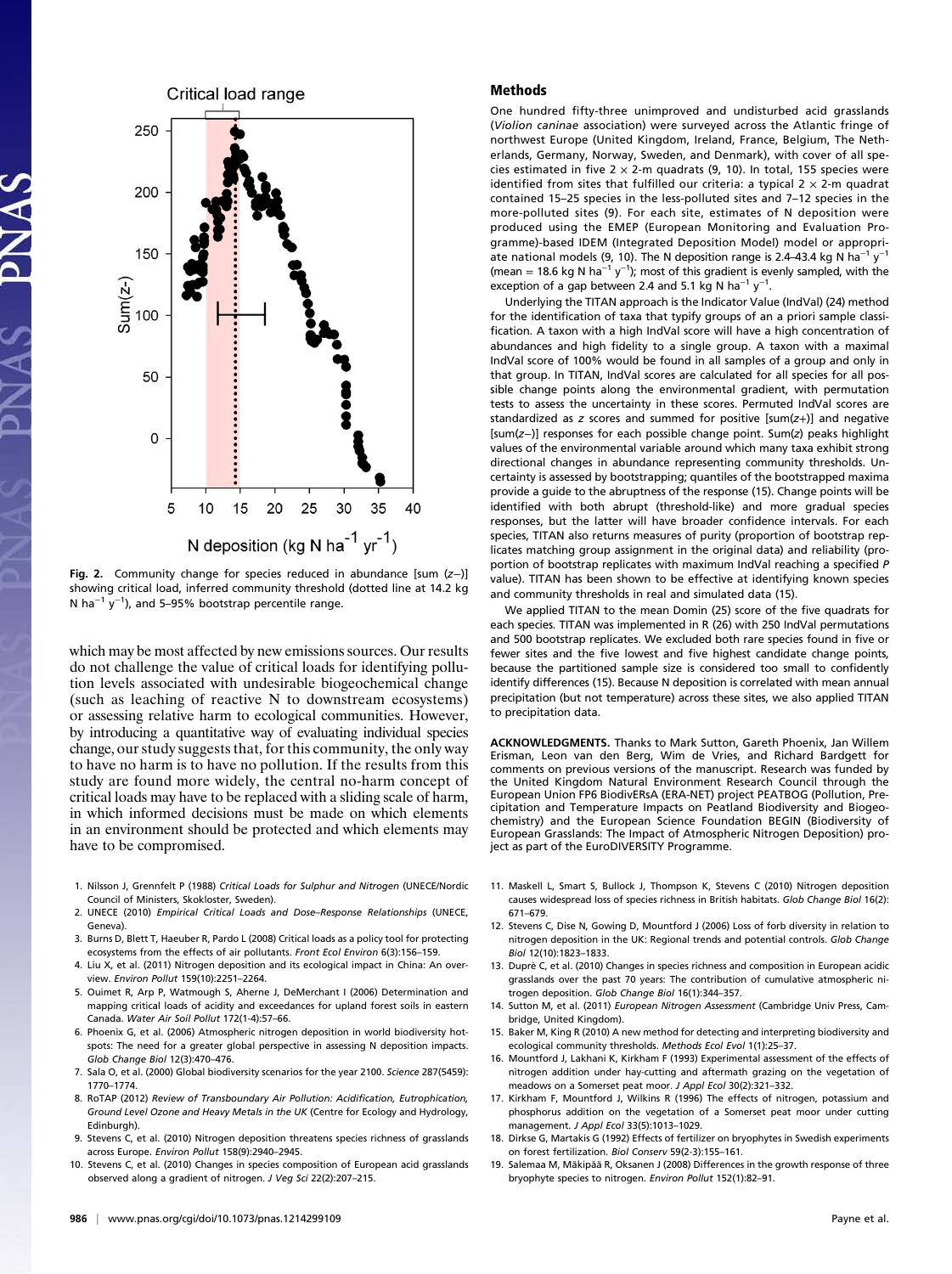

Fig. 2. Community change for species reduced in abundance [sum (z−)] showing critical load, inferred community threshold (dotted line at 14.2 kg N ha<sup>-1</sup> y<sup>-1</sup>), and 5–95% bootstrap percentile range.

which may be most affected by new emissions sources. Our results do not challenge the value of critical loads for identifying pollution levels associated with undesirable biogeochemical change (such as leaching of reactive N to downstream ecosystems) or assessing relative harm to ecological communities. However, by introducing a quantitative way of evaluating individual species change, our study suggests that, for this community, the only way to have no harm is to have no pollution. If the results from this study are found more widely, the central no-harm concept of critical loads may have to be replaced with a sliding scale of harm, in which informed decisions must be made on which elements in an environment should be protected and which elements may have to be compromised.

- 1. Nilsson J, Grennfelt P (1988) Critical Loads for Sulphur and Nitrogen (UNECE/Nordic Council of Ministers, Skokloster, Sweden).
- 2. UNECE (2010) Empirical Critical Loads and Dose–Response Relationships (UNECE, Geneva).
- 3. Burns D, Blett T, Haeuber R, Pardo L (2008) Critical loads as a policy tool for protecting ecosystems from the effects of air pollutants. Front Ecol Environ 6(3):156–159.
- 4. Liu X, et al. (2011) Nitrogen deposition and its ecological impact in China: An overview. Environ Pollut 159(10):2251–2264.
- 5. Ouimet R, Arp P, Watmough S, Aherne J, DeMerchant I (2006) Determination and mapping critical loads of acidity and exceedances for upland forest soils in eastern Canada. Water Air Soil Pollut 172(1-4):57–66.
- 6. Phoenix G, et al. (2006) Atmospheric nitrogen deposition in world biodiversity hotspots: The need for a greater global perspective in assessing N deposition impacts. Glob Change Biol 12(3):470–476.
- 7. Sala O, et al. (2000) Global biodiversity scenarios for the year 2100. Science 287(5459): 1770–1774.
- 8. RoTAP (2012) Review of Transboundary Air Pollution: Acidification, Eutrophication, Ground Level Ozone and Heavy Metals in the UK (Centre for Ecology and Hydrology, Edinburgh).
- 9. Stevens C, et al. (2010) Nitrogen deposition threatens species richness of grasslands across Europe. Environ Pollut 158(9):2940–2945.
- 10. Stevens C, et al. (2010) Changes in species composition of European acid grasslands observed along a gradient of nitrogen. J Veg Sci 22(2):207–215.

## Methods

One hundred fifty-three unimproved and undisturbed acid grasslands (Violion caninae association) were surveyed across the Atlantic fringe of northwest Europe (United Kingdom, Ireland, France, Belgium, The Netherlands, Germany, Norway, Sweden, and Denmark), with cover of all species estimated in five  $2 \times 2$ -m quadrats (9, 10). In total, 155 species were identified from sites that fulfilled our criteria: a typical 2  $\times$  2-m quadrat contained 15–25 species in the less-polluted sites and 7–12 species in the more-polluted sites (9). For each site, estimates of N deposition were produced using the EMEP (European Monitoring and Evaluation Programme)-based IDEM (Integrated Deposition Model) model or appropriate national models (9, 10). The N deposition range is 2.4–43.4 kg N ha<sup>-1</sup> y<sup>-1</sup> (mean = 18.6 kg N ha<sup>-1</sup> y<sup>-1</sup>); most of this gradient is evenly sampled, with the exception of a gap between 2.4 and 5.1 kg N ha<sup>-1</sup> y<sup>-1</sup>.

Underlying the TITAN approach is the Indicator Value (IndVal) (24) method for the identification of taxa that typify groups of an a priori sample classification. A taxon with a high IndVal score will have a high concentration of abundances and high fidelity to a single group. A taxon with a maximal IndVal score of 100% would be found in all samples of a group and only in that group. In TITAN, IndVal scores are calculated for all species for all possible change points along the environmental gradient, with permutation tests to assess the uncertainty in these scores. Permuted IndVal scores are standardized as  $z$  scores and summed for positive [sum( $z$ +)] and negative [sum(z−)] responses for each possible change point. Sum(z) peaks highlight values of the environmental variable around which many taxa exhibit strong directional changes in abundance representing community thresholds. Uncertainty is assessed by bootstrapping; quantiles of the bootstrapped maxima provide a guide to the abruptness of the response (15). Change points will be identified with both abrupt (threshold-like) and more gradual species responses, but the latter will have broader confidence intervals. For each species, TITAN also returns measures of purity (proportion of bootstrap replicates matching group assignment in the original data) and reliability (proportion of bootstrap replicates with maximum IndVal reaching a specified P value). TITAN has been shown to be effective at identifying known species and community thresholds in real and simulated data (15).

We applied TITAN to the mean Domin (25) score of the five quadrats for each species. TITAN was implemented in R (26) with 250 IndVal permutations and 500 bootstrap replicates. We excluded both rare species found in five or fewer sites and the five lowest and five highest candidate change points, because the partitioned sample size is considered too small to confidently identify differences (15). Because N deposition is correlated with mean annual precipitation (but not temperature) across these sites, we also applied TITAN to precipitation data.

ACKNOWLEDGMENTS. Thanks to Mark Sutton, Gareth Phoenix, Jan Willem Erisman, Leon van den Berg, Wim de Vries, and Richard Bardgett for comments on previous versions of the manuscript. Research was funded by the United Kingdom Natural Environment Research Council through the European Union FP6 BiodivERsA (ERA-NET) project PEATBOG (Pollution, Precipitation and Temperature Impacts on Peatland Biodiversity and Biogeochemistry) and the European Science Foundation BEGIN (Biodiversity of European Grasslands: The Impact of Atmospheric Nitrogen Deposition) project as part of the EuroDIVERSITY Programme.

- 11. Maskell L, Smart S, Bullock J, Thompson K, Stevens C (2010) Nitrogen deposition causes widespread loss of species richness in British habitats. Glob Change Biol 16(2): 671–679.
- 12. Stevens C, Dise N, Gowing D, Mountford J (2006) Loss of forb diversity in relation to nitrogen deposition in the UK: Regional trends and potential controls. Glob Change Biol 12(10):1823–1833.
- 13. Duprè C, et al. (2010) Changes in species richness and composition in European acidic grasslands over the past 70 years: The contribution of cumulative atmospheric nitrogen deposition. Glob Change Biol 16(1):344–357.
- 14. Sutton M, et al. (2011) European Nitrogen Assessment (Cambridge Univ Press, Cambridge, United Kingdom).
- 15. Baker M, King R (2010) A new method for detecting and interpreting biodiversity and ecological community thresholds. Methods Ecol Evol 1(1):25–37.
- 16. Mountford J, Lakhani K, Kirkham F (1993) Experimental assessment of the effects of nitrogen addition under hay-cutting and aftermath grazing on the vegetation of meadows on a Somerset peat moor. J Appl Ecol 30(2):321–332.
- 17. Kirkham F, Mountford J, Wilkins R (1996) The effects of nitrogen, potassium and phosphorus addition on the vegetation of a Somerset peat moor under cutting management. J Appl Ecol 33(5):1013–1029.
- 18. Dirkse G, Martakis G (1992) Effects of fertilizer on bryophytes in Swedish experiments on forest fertilization. Biol Conserv 59(2-3):155–161.
- 19. Salemaa M, Mäkipää R, Oksanen J (2008) Differences in the growth response of three bryophyte species to nitrogen. Environ Pollut 152(1):82–91.